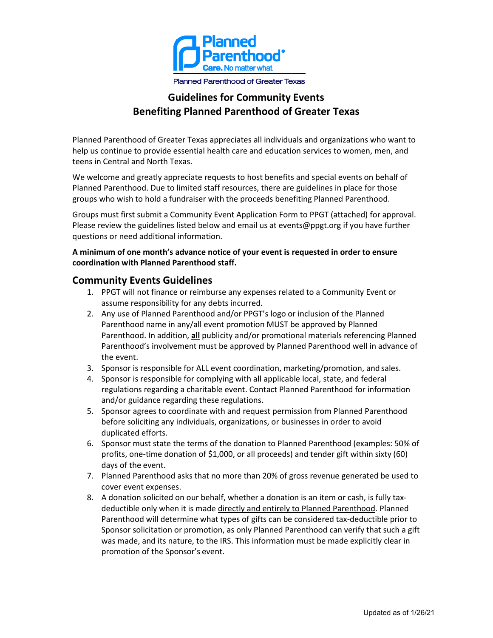

#### **Planned Parenthood of Greater Texas**

## **Guidelines for Community Events Benefiting Planned Parenthood of Greater Texas**

Planned Parenthood of Greater Texas appreciates all individuals and organizations who want to help us continue to provide essential health care and education services to women, men, and teens in Central and North Texas.

We welcome and greatly appreciate requests to host benefits and special events on behalf of Planned Parenthood. Due to limited staff resources, there are guidelines in place for those groups who wish to hold a fundraiser with the proceeds benefiting Planned Parenthood.

Groups must first submit a Community Event Application Form to PPGT (attached) for approval. Please review the guidelines listed below and email us at [events@ppgt.org i](mailto:events@ppgt.org)f you have further questions or need additional information.

#### **A minimum of one month's advance notice of your event is requested in order to ensure coordination with Planned Parenthood staff.**

### **Community Events Guidelines**

- 1. PPGT will not finance or reimburse any expenses related to a Community Event or assume responsibility for any debts incurred.
- 2. Any use of Planned Parenthood and/or PPGT's logo or inclusion of the Planned Parenthood name in any/all event promotion MUST be approved by Planned Parenthood. In addition, **all** publicity and/or promotional materials referencing Planned Parenthood's involvement must be approved by Planned Parenthood well in advance of the event.
- 3. Sponsor is responsible for ALL event coordination, marketing/promotion, and sales.
- 4. Sponsor is responsible for complying with all applicable local, state, and federal regulations regarding a charitable event. Contact Planned Parenthood for information and/or guidance regarding these regulations.
- 5. Sponsor agrees to coordinate with and request permission from Planned Parenthood before soliciting any individuals, organizations, or businesses in order to avoid duplicated efforts.
- 6. Sponsor must state the terms of the donation to Planned Parenthood (examples: 50% of profits, one-time donation of \$1,000, or all proceeds) and tender gift within sixty (60) days of the event.
- 7. Planned Parenthood asks that no more than 20% of gross revenue generated be used to cover event expenses.
- 8. A donation solicited on our behalf, whether a donation is an item or cash, is fully taxdeductible only when it is made directly and entirely to Planned Parenthood. Planned Parenthood will determine what types of gifts can be considered tax-deductible prior to Sponsor solicitation or promotion, as only Planned Parenthood can verify that such a gift was made, and its nature, to the IRS. This information must be made explicitly clear in promotion of the Sponsor's event.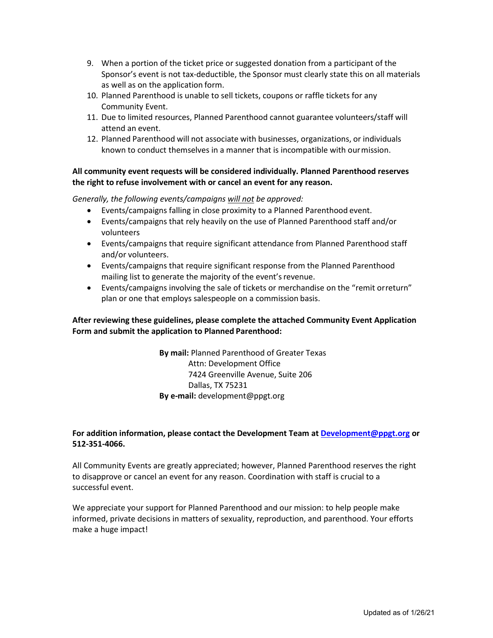- 9. When a portion of the ticket price or suggested donation from a participant of the Sponsor's event is not tax-deductible, the Sponsor must clearly state this on all materials as well as on the application form.
- 10. Planned Parenthood is unable to sell tickets, coupons or raffle tickets for any Community Event.
- 11. Due to limited resources, Planned Parenthood cannot guarantee volunteers/staff will attend an event.
- 12. Planned Parenthood will not associate with businesses, organizations, or individuals known to conduct themselves in a manner that is incompatible with ourmission.

#### **All community event requests will be considered individually. Planned Parenthood reserves the right to refuse involvement with or cancel an event for any reason.**

*Generally, the following events/campaigns will not be approved:*

- Events/campaigns falling in close proximity to a Planned Parenthood event.
- Events/campaigns that rely heavily on the use of Planned Parenthood staff and/or volunteers
- Events/campaigns that require significant attendance from Planned Parenthood staff and/or volunteers.
- Events/campaigns that require significant response from the Planned Parenthood mailing list to generate the majority of the event's revenue.
- Events/campaigns involving the sale of tickets or merchandise on the "remit orreturn" plan or one that employs salespeople on a commission basis.

#### **After reviewing these guidelines, please complete the attached Community Event Application Form and submit the application to Planned Parenthood:**

**By mail:** Planned Parenthood of Greater Texas Attn: Development Office 7424 Greenville Avenue, Suite 206 Dallas, TX 75231 **By e-mail:** [development@ppgt.org](mailto:development@ppgt.org)

#### **For addition information, please contact the Development [Team at Development@](mailto:Kayla.Bass@ppgt.org)ppgt.org or 512-351-4066.**

All Community Events are greatly appreciated; however, Planned Parenthood reserves the right to disapprove or cancel an event for any reason. Coordination with staff is crucial to a successful event.

We appreciate your support for Planned Parenthood and our mission: to help people make informed, private decisions in matters of sexuality, reproduction, and parenthood. Your efforts make a huge impact!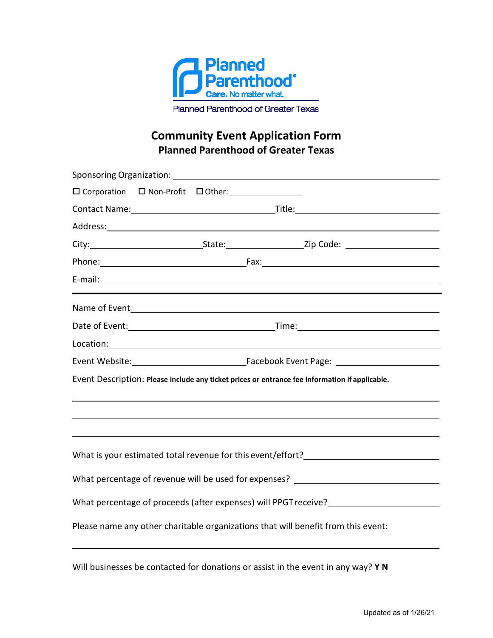

Planned Parenthood of Greater Texas

# **Community Event Application Form Planned Parenthood of Greater Texas**

| □ Corporation □ Non-Profit □ Other: _______________                                                                                                                                                                                 |  |  |  |                                                                                   |
|-------------------------------------------------------------------------------------------------------------------------------------------------------------------------------------------------------------------------------------|--|--|--|-----------------------------------------------------------------------------------|
|                                                                                                                                                                                                                                     |  |  |  |                                                                                   |
|                                                                                                                                                                                                                                     |  |  |  |                                                                                   |
|                                                                                                                                                                                                                                     |  |  |  |                                                                                   |
|                                                                                                                                                                                                                                     |  |  |  |                                                                                   |
|                                                                                                                                                                                                                                     |  |  |  |                                                                                   |
|                                                                                                                                                                                                                                     |  |  |  |                                                                                   |
|                                                                                                                                                                                                                                     |  |  |  |                                                                                   |
| Location: <u>contraction</u> and contract the contraction of the contraction of the contract of the contraction of the contraction of the contract of the contraction of the contraction of the contract of the contract of the con |  |  |  |                                                                                   |
|                                                                                                                                                                                                                                     |  |  |  |                                                                                   |
| Event Description: Please include any ticket prices or entrance fee information if applicable.                                                                                                                                      |  |  |  |                                                                                   |
|                                                                                                                                                                                                                                     |  |  |  |                                                                                   |
|                                                                                                                                                                                                                                     |  |  |  |                                                                                   |
|                                                                                                                                                                                                                                     |  |  |  | What is your estimated total revenue for this event/effort?______________________ |
| What percentage of revenue will be used for expenses? __________________________                                                                                                                                                    |  |  |  |                                                                                   |
|                                                                                                                                                                                                                                     |  |  |  |                                                                                   |
| Please name any other charitable organizations that will benefit from this event:                                                                                                                                                   |  |  |  |                                                                                   |
|                                                                                                                                                                                                                                     |  |  |  |                                                                                   |

Will businesses be contacted for donations or assist in the event in any way? **Y N**